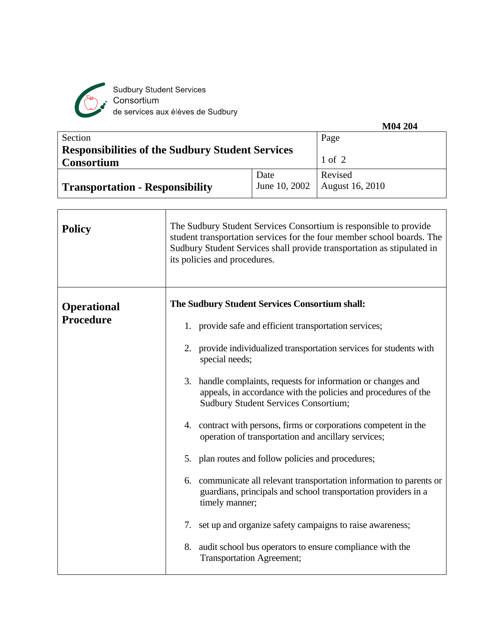

Sudbury Student Services<br>Consortium<br>de services aux élèves de Sudbury

|                                                         |               | M04 204         |
|---------------------------------------------------------|---------------|-----------------|
| Section                                                 |               | Page            |
| <b>Responsibilities of the Sudbury Student Services</b> |               |                 |
| <b>Consortium</b>                                       |               | $1$ of $2$      |
|                                                         | Date          | Revised         |
| <b>Transportation - Responsibility</b>                  | June 10, 2002 | August 16, 2010 |
|                                                         |               |                 |

| <b>Policy</b>                          | The Sudbury Student Services Consortium is responsible to provide<br>student transportation services for the four member school boards. The<br>Sudbury Student Services shall provide transportation as stipulated in<br>its policies and procedures. |  |  |
|----------------------------------------|-------------------------------------------------------------------------------------------------------------------------------------------------------------------------------------------------------------------------------------------------------|--|--|
| <b>Operational</b><br><b>Procedure</b> | The Sudbury Student Services Consortium shall:                                                                                                                                                                                                        |  |  |
|                                        | 1. provide safe and efficient transportation services;                                                                                                                                                                                                |  |  |
|                                        | 2. provide individualized transportation services for students with<br>special needs;                                                                                                                                                                 |  |  |
|                                        | 3. handle complaints, requests for information or changes and<br>appeals, in accordance with the policies and procedures of the<br><b>Sudbury Student Services Consortium;</b>                                                                        |  |  |
|                                        | 4. contract with persons, firms or corporations competent in the<br>operation of transportation and ancillary services;                                                                                                                               |  |  |
|                                        | 5. plan routes and follow policies and procedures;                                                                                                                                                                                                    |  |  |
|                                        | 6. communicate all relevant transportation information to parents or<br>guardians, principals and school transportation providers in a<br>timely manner;                                                                                              |  |  |
|                                        | 7. set up and organize safety campaigns to raise awareness;                                                                                                                                                                                           |  |  |
|                                        | 8. audit school bus operators to ensure compliance with the<br><b>Transportation Agreement;</b>                                                                                                                                                       |  |  |